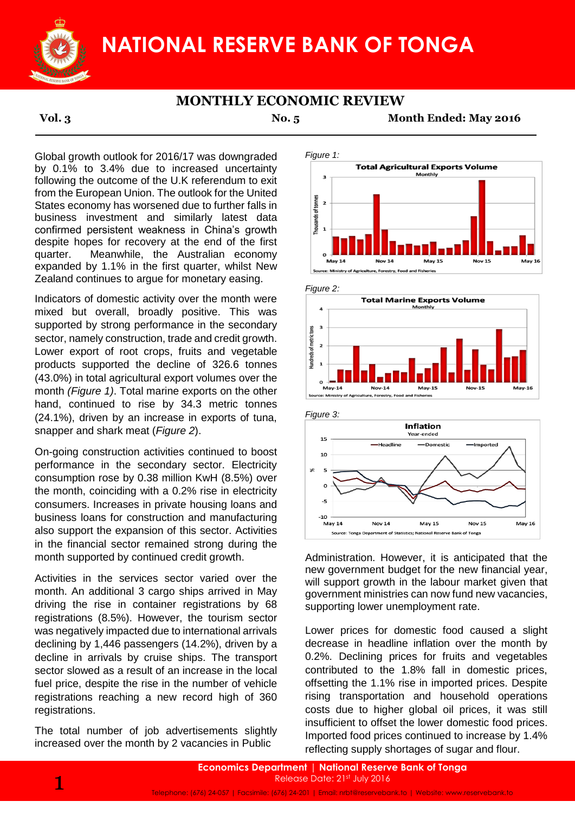

# **NATIONAL RESERVE BANK OF TONGA**

### **MONTHLY ECONOMIC REVIEW**

**Vol. 3 No. 5 Month Ended: May 2016**

Global growth outlook for 2016/17 was downgraded by 0.1% to 3.4% due to increased uncertainty following the outcome of the U.K referendum to exit from the European Union. The outlook for the United States economy has worsened due to further falls in business investment and similarly latest data confirmed persistent weakness in China's growth despite hopes for recovery at the end of the first quarter. Meanwhile, the Australian economy expanded by 1.1% in the first quarter, whilst New Zealand continues to argue for monetary easing.

Indicators of domestic activity over the month were mixed but overall, broadly positive. This was supported by strong performance in the secondary sector, namely construction, trade and credit growth. Lower export of root crops, fruits and vegetable products supported the decline of 326.6 tonnes (43.0%) in total agricultural export volumes over the month *(Figure 1)*. Total marine exports on the other hand, continued to rise by 34.3 metric tonnes (24.1%), driven by an increase in exports of tuna, snapper and shark meat (*Figure 2*).

On-going construction activities continued to boost performance in the secondary sector. Electricity consumption rose by 0.38 million KwH (8.5%) over the month, coinciding with a 0.2% rise in electricity consumers. Increases in private housing loans and business loans for construction and manufacturing also support the expansion of this sector. Activities in the financial sector remained strong during the month supported by continued credit growth.

Activities in the services sector varied over the month. An additional 3 cargo ships arrived in May driving the rise in container registrations by 68 registrations (8.5%). However, the tourism sector was negatively impacted due to international arrivals declining by 1,446 passengers (14.2%), driven by a decline in arrivals by cruise ships. The transport sector slowed as a result of an increase in the local fuel price, despite the rise in the number of vehicle registrations reaching a new record high of 360 registrations.

The total number of job advertisements slightly increased over the month by 2 vacancies in Public









Administration. However, it is anticipated that the new government budget for the new financial year, will support growth in the labour market given that government ministries can now fund new vacancies, supporting lower unemployment rate.

Lower prices for domestic food caused a slight decrease in headline inflation over the month by 0.2%. Declining prices for fruits and vegetables contributed to the 1.8% fall in domestic prices, offsetting the 1.1% rise in imported prices. Despite rising transportation and household operations costs due to higher global oil prices, it was still insufficient to offset the lower domestic food prices. Imported food prices continued to increase by 1.4% reflecting supply shortages of sugar and flour.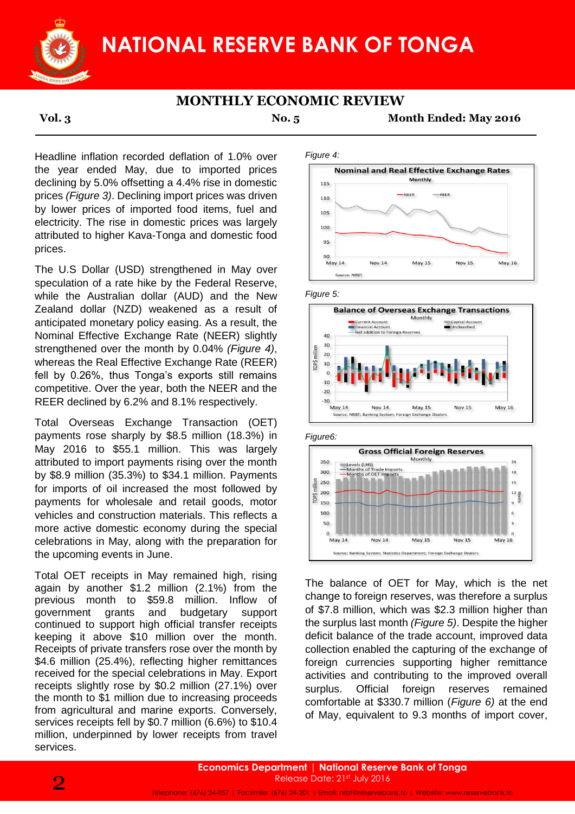

### **MONTHLY ECONOMIC REVIEW**

**Vol. 3 No. 5 Month Ended: May 2016**

Headline inflation recorded deflation of 1.0% over the year ended May, due to imported prices declining by 5.0% offsetting a 4.4% rise in domestic prices *(Figure 3)*. Declining import prices was driven by lower prices of imported food items, fuel and electricity. The rise in domestic prices was largely attributed to higher Kava-Tonga and domestic food prices.

The U.S Dollar (USD) strengthened in May over speculation of a rate hike by the Federal Reserve, while the Australian dollar (AUD) and the New Zealand dollar (NZD) weakened as a result of anticipated monetary policy easing. As a result, the Nominal Effective Exchange Rate (NEER) slightly strengthened over the month by 0.04% *(Figure 4)*, whereas the Real Effective Exchange Rate (REER) fell by 0.26%, thus Tonga's exports still remains competitive. Over the year, both the NEER and the REER declined by 6.2% and 8.1% respectively.

Total Overseas Exchange Transaction (OET) payments rose sharply by \$8.5 million (18.3%) in May 2016 to \$55.1 million. This was largely attributed to import payments rising over the month by \$8.9 million (35.3%) to \$34.1 million. Payments for imports of oil increased the most followed by payments for wholesale and retail goods, motor vehicles and construction materials. This reflects a more active domestic economy during the special celebrations in May, along with the preparation for the upcoming events in June.

Total OET receipts in May remained high, rising again by another \$1.2 million (2.1%) from the previous month to \$59.8 million. Inflow of government grants and budgetary support continued to support high official transfer receipts keeping it above \$10 million over the month. Receipts of private transfers rose over the month by \$4.6 million (25.4%), reflecting higher remittances received for the special celebrations in May. Export receipts slightly rose by \$0.2 million (27.1%) over the month to \$1 million due to increasing proceeds from agricultural and marine exports. Conversely, services receipts fell by \$0.7 million (6.6%) to \$10.4 million, underpinned by lower receipts from travel services.











The balance of OET for May, which is the net change to foreign reserves, was therefore a surplus of \$7.8 million, which was \$2.3 million higher than the surplus last month *(Figure 5)*. Despite the higher deficit balance of the trade account, improved data collection enabled the capturing of the exchange of foreign currencies supporting higher remittance activities and contributing to the improved overall surplus. Official foreign reserves remained comfortable at \$330.7 million (*Figure 6)* at the end of May, equivalent to 9.3 months of import cover,